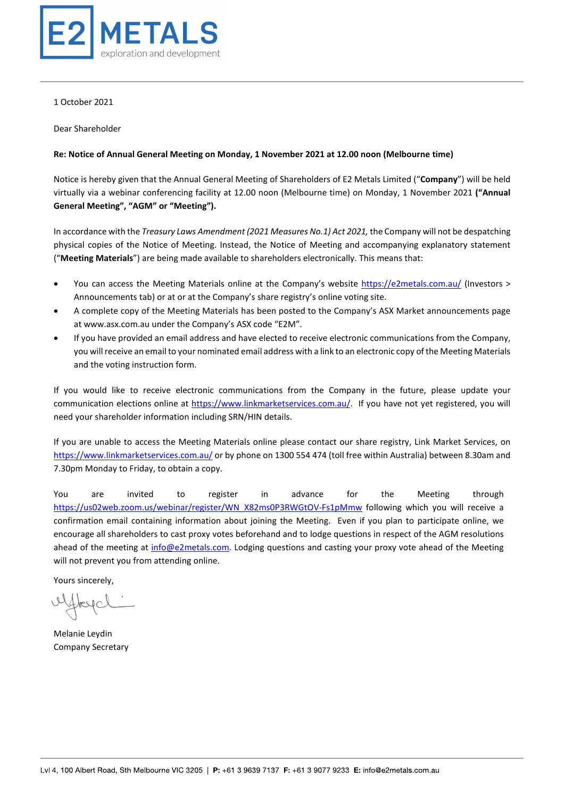

1 October 2021

Dear Shareholder

#### **Re: Notice of Annual General Meeting on Monday, 1 November 2021 at 12.00 noon (Melbourne time)**

Notice is hereby given that the Annual General Meeting of Shareholders of E2 Metals Limited ("**Company**") will be held virtually via a webinar conferencing facility at 12.00 noon (Melbourne time) on Monday, 1 November 2021 **("Annual General Meeting", "AGM" or "Meeting").**

In accordance with the *Treasury Laws Amendment (2021 Measures No.1) Act 2021,* the Company will not be despatching physical copies of the Notice of Meeting. Instead, the Notice of Meeting and accompanying explanatory statement ("**Meeting Materials**") are being made available to shareholders electronically. This means that:

- You can access the Meeting Materials online at the Company's website<https://e2metals.com.au/> (Investors > Announcements tab) or at or at the Company's share registry's online voting site.
- A complete copy of the Meeting Materials has been posted to the Company's ASX Market announcements page at www.asx.com.au under the Company's ASX code "E2M".
- If you have provided an email address and have elected to receive electronic communications from the Company, you will receive an email to your nominated email address with a link to an electronic copy of the Meeting Materials and the voting instruction form.

If you would like to receive electronic communications from the Company in the future, please update your communication elections online at [https://www.linkmarketservices.com.au/.](https://www.linkmarketservices.com.au/) If you have not yet registered, you will need your shareholder information including SRN/HIN details.

If you are unable to access the Meeting Materials online please contact our share registry, Link Market Services, on <https://www.linkmarketservices.com.au/> or by phone on 1300 554 474 (toll free within Australia) between 8.30am and 7.30pm Monday to Friday, to obtain a copy.

You are invited to register in advance for the Meeting through [https://us02web.zoom.us/webinar/register/WN\\_X82ms0P3RWGtOV-Fs1pMmw](https://us02web.zoom.us/webinar/register/WN_X82ms0P3RWGtOV-Fs1pMmw) following which you will receive a confirmation email containing information about joining the Meeting. Even if you plan to participate online, we encourage all shareholders to cast proxy votes beforehand and to lodge questions in respect of the AGM resolutions ahead of the meeting at [info@e2metals.com.](mailto:info@e2metals.com) Lodging questions and casting your proxy vote ahead of the Meeting will not prevent you from attending online.

Yours sincerely,

Hreyc

Melanie Leydin Company Secretary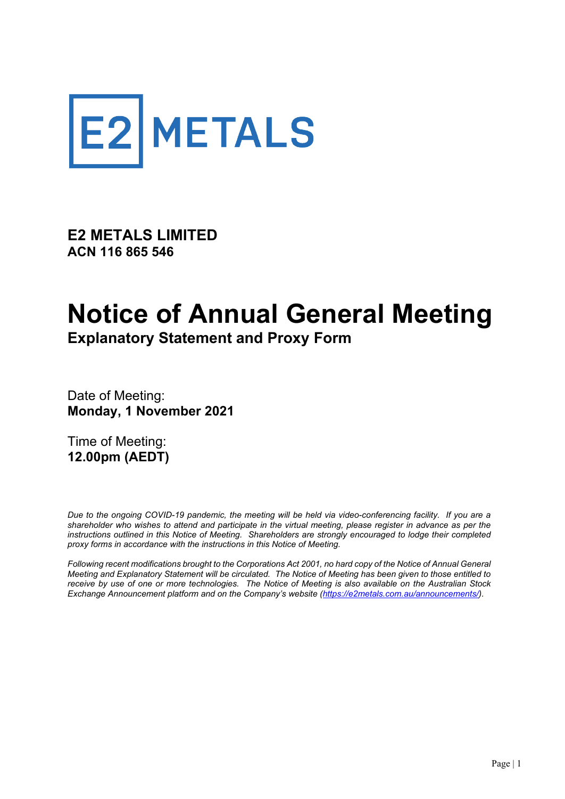

**E2 METALS LIMITED ACN 116 865 546**

## **Notice of Annual General Meeting Explanatory Statement and Proxy Form**

Date of Meeting: **Monday, 1 November 2021**

Time of Meeting: **12.00pm (AEDT)** 

*Due to the ongoing COVID-19 pandemic, the meeting will be held via video-conferencing facility. If you are a shareholder who wishes to attend and participate in the virtual meeting, please register in advance as per the instructions outlined in this Notice of Meeting. Shareholders are strongly encouraged to lodge their completed proxy forms in accordance with the instructions in this Notice of Meeting.*

*Following recent modifications brought to the Corporations Act 2001, no hard copy of the Notice of Annual General Meeting and Explanatory Statement will be circulated. The Notice of Meeting has been given to those entitled to receive by use of one or more technologies. The Notice of Meeting is also available on the Australian Stock Exchange Announcement platform and on the Company's website [\(https://e2metals.com.au/announcements/\)](https://e2metals.com.au/announcements/)*.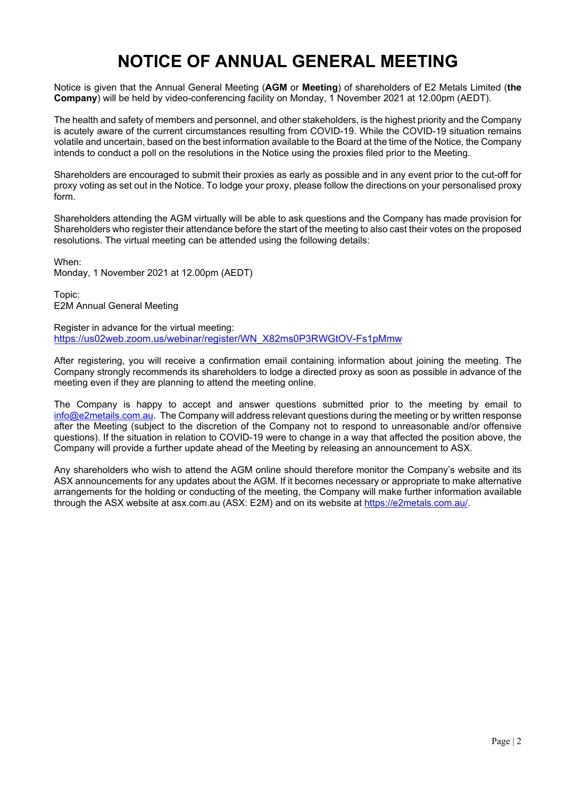## **NOTICE OF ANNUAL GENERAL MEETING**

Notice is given that the Annual General Meeting (**AGM** or **Meeting**) of shareholders of E2 Metals Limited (**the Company**) will be held by video-conferencing facility on Monday, 1 November 2021 at 12.00pm (AEDT).

The health and safety of members and personnel, and other stakeholders, is the highest priority and the Company is acutely aware of the current circumstances resulting from COVID-19. While the COVID-19 situation remains volatile and uncertain, based on the best information available to the Board at the time of the Notice, the Company intends to conduct a poll on the resolutions in the Notice using the proxies filed prior to the Meeting.

Shareholders are encouraged to submit their proxies as early as possible and in any event prior to the cut-off for proxy voting as set out in the Notice. To lodge your proxy, please follow the directions on your personalised proxy form.

Shareholders attending the AGM virtually will be able to ask questions and the Company has made provision for Shareholders who register their attendance before the start of the meeting to also cast their votes on the proposed resolutions. The virtual meeting can be attended using the following details:

When:

Monday, 1 November 2021 at 12.00pm (AEDT)

Topic: E2M Annual General Meeting

Register in advance for the virtual meeting: [https://us02web.zoom.us/webinar/register/WN\\_X82ms0P3RWGtOV-Fs1pMmw](https://us02web.zoom.us/webinar/register/WN_X82ms0P3RWGtOV-Fs1pMmw)

After registering, you will receive a confirmation email containing information about joining the meeting. The Company strongly recommends its shareholders to lodge a directed proxy as soon as possible in advance of the meeting even if they are planning to attend the meeting online.

The Company is happy to accept and answer questions submitted prior to the meeting by email to [info@e2metails.com.au.](mailto:info@e2metails.com.au) The Company will address relevant questions during the meeting or by written response after the Meeting (subject to the discretion of the Company not to respond to unreasonable and/or offensive questions). If the situation in relation to COVID-19 were to change in a way that affected the position above, the Company will provide a further update ahead of the Meeting by releasing an announcement to ASX.

Any shareholders who wish to attend the AGM online should therefore monitor the Company's website and its ASX announcements for any updates about the AGM. If it becomes necessary or appropriate to make alternative arrangements for the holding or conducting of the meeting, the Company will make further information available through the ASX website at asx.com.au (ASX: E2M) and on its website at [https://e2metals.com.au/.](https://e2metals.com.au/)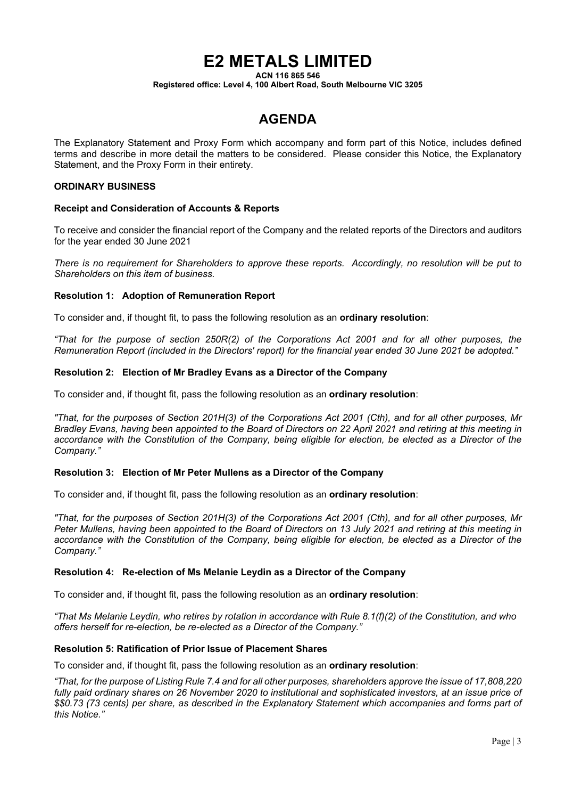## **E2 METALS LIMITED**

**ACN 116 865 546**

**Registered office: Level 4, 100 Albert Road, South Melbourne VIC 3205**

## **AGENDA**

The Explanatory Statement and Proxy Form which accompany and form part of this Notice, includes defined terms and describe in more detail the matters to be considered. Please consider this Notice, the Explanatory Statement, and the Proxy Form in their entirety.

#### **ORDINARY BUSINESS**

#### **Receipt and Consideration of Accounts & Reports**

To receive and consider the financial report of the Company and the related reports of the Directors and auditors for the year ended 30 June 2021

*There is no requirement for Shareholders to approve these reports. Accordingly, no resolution will be put to Shareholders on this item of business.*

#### **Resolution 1: Adoption of Remuneration Report**

To consider and, if thought fit, to pass the following resolution as an **ordinary resolution**:

*"That for the purpose of section 250R(2) of the Corporations Act 2001 and for all other purposes, the Remuneration Report (included in the Directors' report) for the financial year ended 30 June 2021 be adopted."*

#### **Resolution 2: Election of Mr Bradley Evans as a Director of the Company**

To consider and, if thought fit, pass the following resolution as an **ordinary resolution**:

*"That, for the purposes of Section 201H(3) of the Corporations Act 2001 (Cth), and for all other purposes, Mr Bradley Evans, having been appointed to the Board of Directors on 22 April 2021 and retiring at this meeting in accordance with the Constitution of the Company, being eligible for election, be elected as a Director of the Company."*

#### **Resolution 3: Election of Mr Peter Mullens as a Director of the Company**

To consider and, if thought fit, pass the following resolution as an **ordinary resolution**:

*"That, for the purposes of Section 201H(3) of the Corporations Act 2001 (Cth), and for all other purposes, Mr Peter Mullens, having been appointed to the Board of Directors on 13 July 2021 and retiring at this meeting in accordance with the Constitution of the Company, being eligible for election, be elected as a Director of the Company."*

#### **Resolution 4: Re-election of Ms Melanie Leydin as a Director of the Company**

To consider and, if thought fit, pass the following resolution as an **ordinary resolution**:

*"That Ms Melanie Leydin, who retires by rotation in accordance with Rule 8.1(f)(2) of the Constitution, and who offers herself for re-election, be re-elected as a Director of the Company."*

#### **Resolution 5: Ratification of Prior Issue of Placement Shares**

To consider and, if thought fit, pass the following resolution as an **ordinary resolution**:

*"That, for the purpose of Listing Rule 7.4 and for all other purposes, shareholders approve the issue of 17,808,220 fully paid ordinary shares on 26 November 2020 to institutional and sophisticated investors, at an issue price of \$\$0.73 (73 cents) per share, as described in the Explanatory Statement which accompanies and forms part of this Notice."*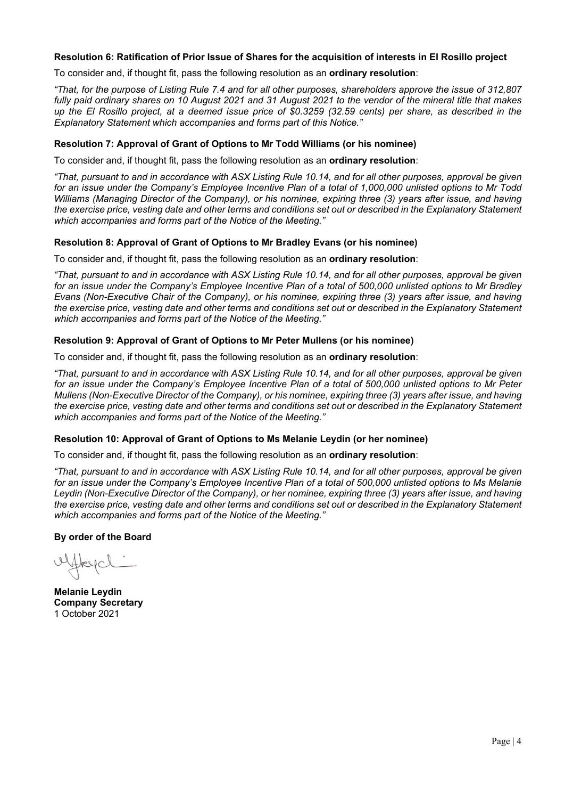#### **Resolution 6: Ratification of Prior Issue of Shares for the acquisition of interests in El Rosillo project**

To consider and, if thought fit, pass the following resolution as an **ordinary resolution**:

*"That, for the purpose of Listing Rule 7.4 and for all other purposes, shareholders approve the issue of 312,807 fully paid ordinary shares on 10 August 2021 and 31 August 2021 to the vendor of the mineral title that makes up the El Rosillo project, at a deemed issue price of \$0.3259 (32.59 cents) per share, as described in the Explanatory Statement which accompanies and forms part of this Notice."*

#### **Resolution 7: Approval of Grant of Options to Mr Todd Williams (or his nominee)**

To consider and, if thought fit, pass the following resolution as an **ordinary resolution**:

*"That, pursuant to and in accordance with ASX Listing Rule 10.14, and for all other purposes, approval be given for an issue under the Company's Employee Incentive Plan of a total of 1,000,000 unlisted options to Mr Todd Williams (Managing Director of the Company), or his nominee, expiring three (3) years after issue, and having the exercise price, vesting date and other terms and conditions set out or described in the Explanatory Statement which accompanies and forms part of the Notice of the Meeting."*

#### **Resolution 8: Approval of Grant of Options to Mr Bradley Evans (or his nominee)**

To consider and, if thought fit, pass the following resolution as an **ordinary resolution**:

*"That, pursuant to and in accordance with ASX Listing Rule 10.14, and for all other purposes, approval be given for an issue under the Company's Employee Incentive Plan of a total of 500,000 unlisted options to Mr Bradley Evans (Non-Executive Chair of the Company), or his nominee, expiring three (3) years after issue, and having the exercise price, vesting date and other terms and conditions set out or described in the Explanatory Statement which accompanies and forms part of the Notice of the Meeting."*

#### **Resolution 9: Approval of Grant of Options to Mr Peter Mullens (or his nominee)**

To consider and, if thought fit, pass the following resolution as an **ordinary resolution**:

*"That, pursuant to and in accordance with ASX Listing Rule 10.14, and for all other purposes, approval be given for an issue under the Company's Employee Incentive Plan of a total of 500,000 unlisted options to Mr Peter Mullens (Non-Executive Director of the Company), or his nominee, expiring three (3) years after issue, and having the exercise price, vesting date and other terms and conditions set out or described in the Explanatory Statement which accompanies and forms part of the Notice of the Meeting."*

#### **Resolution 10: Approval of Grant of Options to Ms Melanie Leydin (or her nominee)**

To consider and, if thought fit, pass the following resolution as an **ordinary resolution**:

*"That, pursuant to and in accordance with ASX Listing Rule 10.14, and for all other purposes, approval be given for an issue under the Company's Employee Incentive Plan of a total of 500,000 unlisted options to Ms Melanie Leydin (Non-Executive Director of the Company), or her nominee, expiring three (3) years after issue, and having the exercise price, vesting date and other terms and conditions set out or described in the Explanatory Statement which accompanies and forms part of the Notice of the Meeting."*

**By order of the Board**

Hreyal :

**Melanie Leydin Company Secretary** 1 October 2021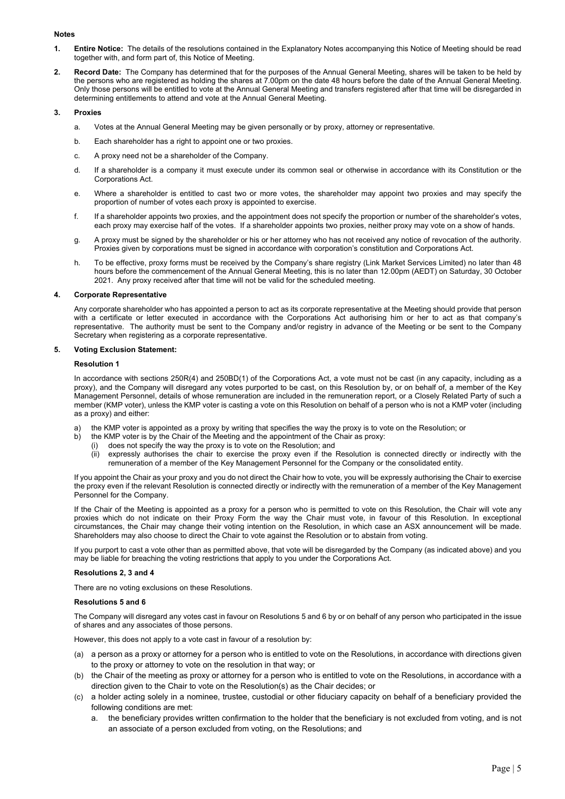#### **Notes**

- **1. Entire Notice:** The details of the resolutions contained in the Explanatory Notes accompanying this Notice of Meeting should be read together with, and form part of, this Notice of Meeting.
- **2. Record Date:** The Company has determined that for the purposes of the Annual General Meeting, shares will be taken to be held by the persons who are registered as holding the shares at 7.00pm on the date 48 hours before the date of the Annual General Meeting. Only those persons will be entitled to vote at the Annual General Meeting and transfers registered after that time will be disregarded in determining entitlements to attend and vote at the Annual General Meeting.

#### **3. Proxies**

- a. Votes at the Annual General Meeting may be given personally or by proxy, attorney or representative.
- b. Each shareholder has a right to appoint one or two proxies.
- c. A proxy need not be a shareholder of the Company.
- d. If a shareholder is a company it must execute under its common seal or otherwise in accordance with its Constitution or the Corporations Act.
- e. Where a shareholder is entitled to cast two or more votes, the shareholder may appoint two proxies and may specify the proportion of number of votes each proxy is appointed to exercise.
- f. If a shareholder appoints two proxies, and the appointment does not specify the proportion or number of the shareholder's votes, each proxy may exercise half of the votes. If a shareholder appoints two proxies, neither proxy may vote on a show of hands.
- g. A proxy must be signed by the shareholder or his or her attorney who has not received any notice of revocation of the authority. Proxies given by corporations must be signed in accordance with corporation's constitution and Corporations Act.
- h. To be effective, proxy forms must be received by the Company's share registry (Link Market Services Limited) no later than 48 hours before the commencement of the Annual General Meeting, this is no later than 12.00pm (AEDT) on Saturday, 30 October 2021. Any proxy received after that time will not be valid for the scheduled meeting.

#### **4. Corporate Representative**

Any corporate shareholder who has appointed a person to act as its corporate representative at the Meeting should provide that person with a certificate or letter executed in accordance with the Corporations Act authorising him or her to act as that company's representative. The authority must be sent to the Company and/or registry in advance of the Meeting or be sent to the Company Secretary when registering as a corporate representative.

#### **5. Voting Exclusion Statement:**

#### **Resolution 1**

In accordance with sections 250R(4) and 250BD(1) of the Corporations Act, a vote must not be cast (in any capacity, including as a proxy), and the Company will disregard any votes purported to be cast, on this Resolution by, or on behalf of, a member of the Key Management Personnel, details of whose remuneration are included in the remuneration report, or a Closely Related Party of such a member (KMP voter), unless the KMP voter is casting a vote on this Resolution on behalf of a person who is not a KMP voter (including as a proxy) and either:

- the KMP voter is appointed as a proxy by writing that specifies the way the proxy is to vote on the Resolution; or
- b) the KMP voter is by the Chair of the Meeting and the appointment of the Chair as proxy:
	- (i) does not specify the way the proxy is to vote on the Resolution; and
		- (ii) expressly authorises the chair to exercise the proxy even if the Resolution is connected directly or indirectly with the remuneration of a member of the Key Management Personnel for the Company or the consolidated entity.

If you appoint the Chair as your proxy and you do not direct the Chair how to vote, you will be expressly authorising the Chair to exercise the proxy even if the relevant Resolution is connected directly or indirectly with the remuneration of a member of the Key Management Personnel for the Company.

If the Chair of the Meeting is appointed as a proxy for a person who is permitted to vote on this Resolution, the Chair will vote any proxies which do not indicate on their Proxy Form the way the Chair must vote, in favour of this Resolution. In exceptional circumstances, the Chair may change their voting intention on the Resolution, in which case an ASX announcement will be made. Shareholders may also choose to direct the Chair to vote against the Resolution or to abstain from voting.

If you purport to cast a vote other than as permitted above, that vote will be disregarded by the Company (as indicated above) and you may be liable for breaching the voting restrictions that apply to you under the Corporations Act.

#### **Resolutions 2, 3 and 4**

There are no voting exclusions on these Resolutions.

#### **Resolutions 5 and 6**

The Company will disregard any votes cast in favour on Resolutions 5 and 6 by or on behalf of any person who participated in the issue of shares and any associates of those persons.

However, this does not apply to a vote cast in favour of a resolution by:

- (a) a person as a proxy or attorney for a person who is entitled to vote on the Resolutions, in accordance with directions given to the proxy or attorney to vote on the resolution in that way; or
- (b) the Chair of the meeting as proxy or attorney for a person who is entitled to vote on the Resolutions, in accordance with a direction given to the Chair to vote on the Resolution(s) as the Chair decides; or
- (c) a holder acting solely in a nominee, trustee, custodial or other fiduciary capacity on behalf of a beneficiary provided the following conditions are met:
	- the beneficiary provides written confirmation to the holder that the beneficiary is not excluded from voting, and is not an associate of a person excluded from voting, on the Resolutions; and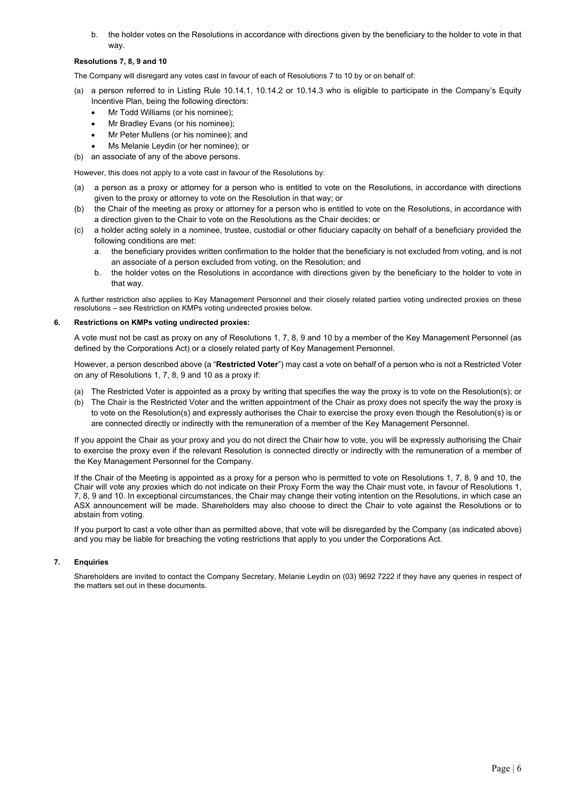b. the holder votes on the Resolutions in accordance with directions given by the beneficiary to the holder to vote in that way.

#### **Resolutions 7, 8, 9 and 10**

The Company will disregard any votes cast in favour of each of Resolutions 7 to 10 by or on behalf of:

- (a) a person referred to in Listing Rule 10.14.1, 10.14.2 or 10.14.3 who is eligible to participate in the Company's Equity Incentive Plan, being the following directors:
	- Mr Todd Williams (or his nominee);
	- Mr Bradley Evans (or his nominee);
	- Mr Peter Mullens (or his nominee); and
	- Ms Melanie Leydin (or her nominee); or
- (b) an associate of any of the above persons.

However, this does not apply to a vote cast in favour of the Resolutions by:

- (a) a person as a proxy or attorney for a person who is entitled to vote on the Resolutions, in accordance with directions given to the proxy or attorney to vote on the Resolution in that way; or
- (b) the Chair of the meeting as proxy or attorney for a person who is entitled to vote on the Resolutions, in accordance with a direction given to the Chair to vote on the Resolutions as the Chair decides; or
- (c) a holder acting solely in a nominee, trustee, custodial or other fiduciary capacity on behalf of a beneficiary provided the following conditions are met:
	- a. the beneficiary provides written confirmation to the holder that the beneficiary is not excluded from voting, and is not an associate of a person excluded from voting, on the Resolution; and
	- b. the holder votes on the Resolutions in accordance with directions given by the beneficiary to the holder to vote in that way.

A further restriction also applies to Key Management Personnel and their closely related parties voting undirected proxies on these resolutions – see Restriction on KMPs voting undirected proxies below.

#### **6. Restrictions on KMPs voting undirected proxies:**

A vote must not be cast as proxy on any of Resolutions 1, 7, 8, 9 and 10 by a member of the Key Management Personnel (as defined by the Corporations Act) or a closely related party of Key Management Personnel.

However, a person described above (a "**Restricted Voter**") may cast a vote on behalf of a person who is not a Restricted Voter on any of Resolutions 1, 7, 8, 9 and 10 as a proxy if:

- (a) The Restricted Voter is appointed as a proxy by writing that specifies the way the proxy is to vote on the Resolution(s); or
- (b) The Chair is the Restricted Voter and the written appointment of the Chair as proxy does not specify the way the proxy is to vote on the Resolution(s) and expressly authorises the Chair to exercise the proxy even though the Resolution(s) is or are connected directly or indirectly with the remuneration of a member of the Key Management Personnel.

If you appoint the Chair as your proxy and you do not direct the Chair how to vote, you will be expressly authorising the Chair to exercise the proxy even if the relevant Resolution is connected directly or indirectly with the remuneration of a member of the Key Management Personnel for the Company.

If the Chair of the Meeting is appointed as a proxy for a person who is permitted to vote on Resolutions 1, 7, 8, 9 and 10, the Chair will vote any proxies which do not indicate on their Proxy Form the way the Chair must vote, in favour of Resolutions 1, 7, 8, 9 and 10. In exceptional circumstances, the Chair may change their voting intention on the Resolutions, in which case an ASX announcement will be made. Shareholders may also choose to direct the Chair to vote against the Resolutions or to abstain from voting.

If you purport to cast a vote other than as permitted above, that vote will be disregarded by the Company (as indicated above) and you may be liable for breaching the voting restrictions that apply to you under the Corporations Act.

#### **7. Enquiries**

Shareholders are invited to contact the Company Secretary, Melanie Leydin on (03) 9692 7222 if they have any queries in respect of the matters set out in these documents.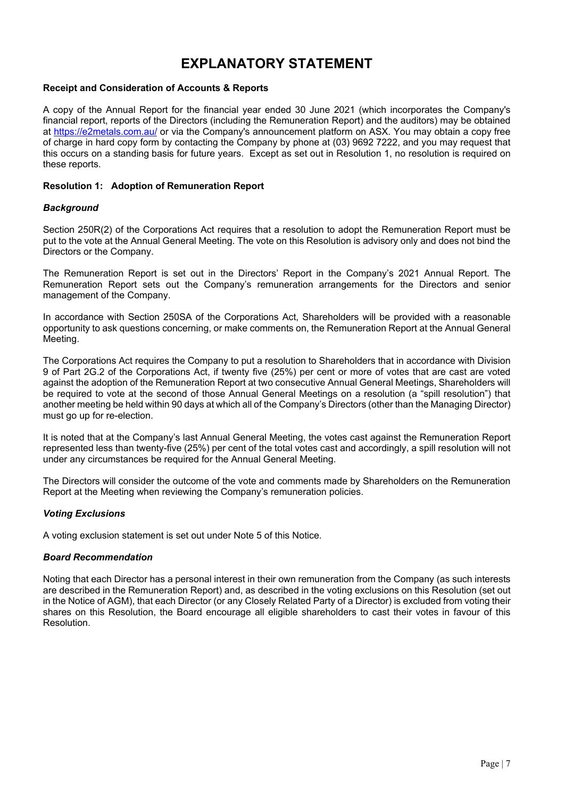## **EXPLANATORY STATEMENT**

#### **Receipt and Consideration of Accounts & Reports**

A copy of the Annual Report for the financial year ended 30 June 2021 (which incorporates the Company's financial report, reports of the Directors (including the Remuneration Report) and the auditors) may be obtained at<https://e2metals.com.au/> or via the Company's announcement platform on ASX. You may obtain a copy free of charge in hard copy form by contacting the Company by phone at (03) 9692 7222, and you may request that this occurs on a standing basis for future years. Except as set out in Resolution 1, no resolution is required on these reports.

#### **Resolution 1: Adoption of Remuneration Report**

#### *Background*

Section 250R(2) of the Corporations Act requires that a resolution to adopt the Remuneration Report must be put to the vote at the Annual General Meeting. The vote on this Resolution is advisory only and does not bind the Directors or the Company.

The Remuneration Report is set out in the Directors' Report in the Company's 2021 Annual Report. The Remuneration Report sets out the Company's remuneration arrangements for the Directors and senior management of the Company.

In accordance with Section 250SA of the Corporations Act, Shareholders will be provided with a reasonable opportunity to ask questions concerning, or make comments on, the Remuneration Report at the Annual General Meeting.

The Corporations Act requires the Company to put a resolution to Shareholders that in accordance with Division 9 of Part 2G.2 of the Corporations Act, if twenty five (25%) per cent or more of votes that are cast are voted against the adoption of the Remuneration Report at two consecutive Annual General Meetings, Shareholders will be required to vote at the second of those Annual General Meetings on a resolution (a "spill resolution") that another meeting be held within 90 days at which all of the Company's Directors (other than the Managing Director) must go up for re-election.

It is noted that at the Company's last Annual General Meeting, the votes cast against the Remuneration Report represented less than twenty-five (25%) per cent of the total votes cast and accordingly, a spill resolution will not under any circumstances be required for the Annual General Meeting.

The Directors will consider the outcome of the vote and comments made by Shareholders on the Remuneration Report at the Meeting when reviewing the Company's remuneration policies.

#### *Voting Exclusions*

A voting exclusion statement is set out under Note 5 of this Notice.

#### *Board Recommendation*

Noting that each Director has a personal interest in their own remuneration from the Company (as such interests are described in the Remuneration Report) and, as described in the voting exclusions on this Resolution (set out in the Notice of AGM), that each Director (or any Closely Related Party of a Director) is excluded from voting their shares on this Resolution, the Board encourage all eligible shareholders to cast their votes in favour of this Resolution.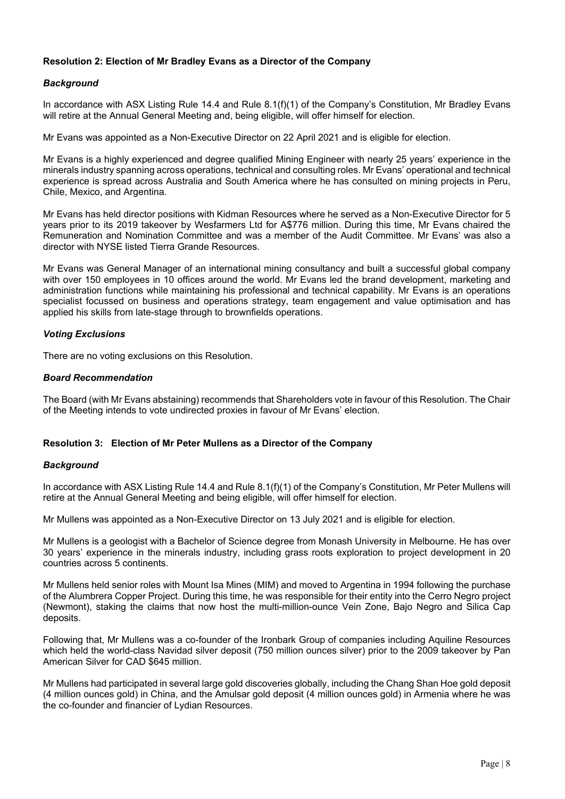#### **Resolution 2: Election of Mr Bradley Evans as a Director of the Company**

#### *Background*

In accordance with ASX Listing Rule 14.4 and Rule 8.1(f)(1) of the Company's Constitution, Mr Bradley Evans will retire at the Annual General Meeting and, being eligible, will offer himself for election.

Mr Evans was appointed as a Non-Executive Director on 22 April 2021 and is eligible for election.

Mr Evans is a highly experienced and degree qualified Mining Engineer with nearly 25 years' experience in the minerals industry spanning across operations, technical and consulting roles. Mr Evans' operational and technical experience is spread across Australia and South America where he has consulted on mining projects in Peru, Chile, Mexico, and Argentina.

Mr Evans has held director positions with Kidman Resources where he served as a Non-Executive Director for 5 years prior to its 2019 takeover by Wesfarmers Ltd for A\$776 million. During this time, Mr Evans chaired the Remuneration and Nomination Committee and was a member of the Audit Committee. Mr Evans' was also a director with NYSE listed Tierra Grande Resources.

Mr Evans was General Manager of an international mining consultancy and built a successful global company with over 150 employees in 10 offices around the world. Mr Evans led the brand development, marketing and administration functions while maintaining his professional and technical capability. Mr Evans is an operations specialist focussed on business and operations strategy, team engagement and value optimisation and has applied his skills from late-stage through to brownfields operations.

#### *Voting Exclusions*

There are no voting exclusions on this Resolution.

#### *Board Recommendation*

The Board (with Mr Evans abstaining) recommends that Shareholders vote in favour of this Resolution. The Chair of the Meeting intends to vote undirected proxies in favour of Mr Evans' election.

#### **Resolution 3: Election of Mr Peter Mullens as a Director of the Company**

#### *Background*

In accordance with ASX Listing Rule 14.4 and Rule 8.1(f)(1) of the Company's Constitution, Mr Peter Mullens will retire at the Annual General Meeting and being eligible, will offer himself for election.

Mr Mullens was appointed as a Non-Executive Director on 13 July 2021 and is eligible for election.

Mr Mullens is a geologist with a Bachelor of Science degree from Monash University in Melbourne. He has over 30 years' experience in the minerals industry, including grass roots exploration to project development in 20 countries across 5 continents.

Mr Mullens held senior roles with Mount Isa Mines (MIM) and moved to Argentina in 1994 following the purchase of the Alumbrera Copper Project. During this time, he was responsible for their entity into the Cerro Negro project (Newmont), staking the claims that now host the multi-million-ounce Vein Zone, Bajo Negro and Silica Cap deposits.

Following that, Mr Mullens was a co-founder of the Ironbark Group of companies including Aquiline Resources which held the world-class Navidad silver deposit (750 million ounces silver) prior to the 2009 takeover by Pan American Silver for CAD \$645 million.

Mr Mullens had participated in several large gold discoveries globally, including the Chang Shan Hoe gold deposit (4 million ounces gold) in China, and the Amulsar gold deposit (4 million ounces gold) in Armenia where he was the co-founder and financier of Lydian Resources.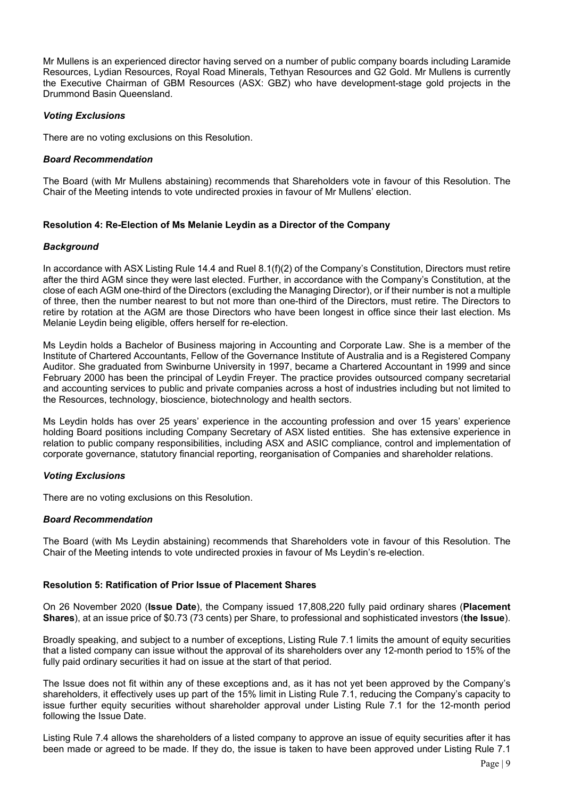Mr Mullens is an experienced director having served on a number of public company boards including Laramide Resources, Lydian Resources, Royal Road Minerals, Tethyan Resources and G2 Gold. Mr Mullens is currently the Executive Chairman of GBM Resources (ASX: GBZ) who have development-stage gold projects in the Drummond Basin Queensland.

#### *Voting Exclusions*

There are no voting exclusions on this Resolution.

#### *Board Recommendation*

The Board (with Mr Mullens abstaining) recommends that Shareholders vote in favour of this Resolution. The Chair of the Meeting intends to vote undirected proxies in favour of Mr Mullens' election.

#### **Resolution 4: Re-Election of Ms Melanie Leydin as a Director of the Company**

#### *Background*

In accordance with ASX Listing Rule 14.4 and Ruel 8.1(f)(2) of the Company's Constitution, Directors must retire after the third AGM since they were last elected. Further, in accordance with the Company's Constitution, at the close of each AGM one-third of the Directors (excluding the Managing Director), or if their number is not a multiple of three, then the number nearest to but not more than one-third of the Directors, must retire. The Directors to retire by rotation at the AGM are those Directors who have been longest in office since their last election. Ms Melanie Leydin being eligible, offers herself for re-election.

Ms Leydin holds a Bachelor of Business majoring in Accounting and Corporate Law. She is a member of the Institute of Chartered Accountants, Fellow of the Governance Institute of Australia and is a Registered Company Auditor. She graduated from Swinburne University in 1997, became a Chartered Accountant in 1999 and since February 2000 has been the principal of Leydin Freyer. The practice provides outsourced company secretarial and accounting services to public and private companies across a host of industries including but not limited to the Resources, technology, bioscience, biotechnology and health sectors.

Ms Leydin holds has over 25 years' experience in the accounting profession and over 15 years' experience holding Board positions including Company Secretary of ASX listed entities. She has extensive experience in relation to public company responsibilities, including ASX and ASIC compliance, control and implementation of corporate governance, statutory financial reporting, reorganisation of Companies and shareholder relations.

#### *Voting Exclusions*

There are no voting exclusions on this Resolution.

#### *Board Recommendation*

The Board (with Ms Leydin abstaining) recommends that Shareholders vote in favour of this Resolution. The Chair of the Meeting intends to vote undirected proxies in favour of Ms Leydin's re-election.

#### **Resolution 5: Ratification of Prior Issue of Placement Shares**

On 26 November 2020 (**Issue Date**), the Company issued 17,808,220 fully paid ordinary shares (**Placement Shares**), at an issue price of \$0.73 (73 cents) per Share, to professional and sophisticated investors (**the Issue**).

Broadly speaking, and subject to a number of exceptions, Listing Rule 7.1 limits the amount of equity securities that a listed company can issue without the approval of its shareholders over any 12-month period to 15% of the fully paid ordinary securities it had on issue at the start of that period.

The Issue does not fit within any of these exceptions and, as it has not yet been approved by the Company's shareholders, it effectively uses up part of the 15% limit in Listing Rule 7.1, reducing the Company's capacity to issue further equity securities without shareholder approval under Listing Rule 7.1 for the 12-month period following the Issue Date.

Listing Rule 7.4 allows the shareholders of a listed company to approve an issue of equity securities after it has been made or agreed to be made. If they do, the issue is taken to have been approved under Listing Rule 7.1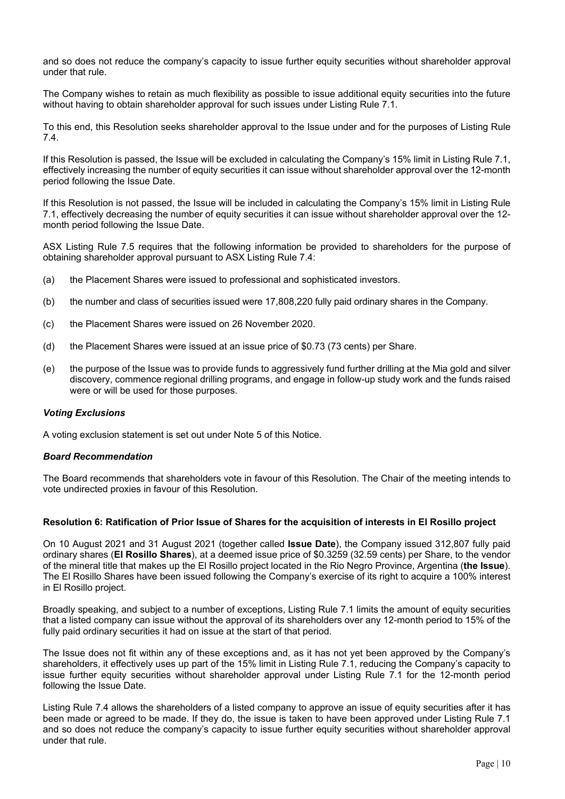and so does not reduce the company's capacity to issue further equity securities without shareholder approval under that rule.

The Company wishes to retain as much flexibility as possible to issue additional equity securities into the future without having to obtain shareholder approval for such issues under Listing Rule 7.1.

To this end, this Resolution seeks shareholder approval to the Issue under and for the purposes of Listing Rule 7.4.

If this Resolution is passed, the Issue will be excluded in calculating the Company's 15% limit in Listing Rule 7.1, effectively increasing the number of equity securities it can issue without shareholder approval over the 12-month period following the Issue Date.

If this Resolution is not passed, the Issue will be included in calculating the Company's 15% limit in Listing Rule 7.1, effectively decreasing the number of equity securities it can issue without shareholder approval over the 12 month period following the Issue Date.

ASX Listing Rule 7.5 requires that the following information be provided to shareholders for the purpose of obtaining shareholder approval pursuant to ASX Listing Rule 7.4:

- (a) the Placement Shares were issued to professional and sophisticated investors.
- (b) the number and class of securities issued were 17,808,220 fully paid ordinary shares in the Company.
- (c) the Placement Shares were issued on 26 November 2020.
- (d) the Placement Shares were issued at an issue price of \$0.73 (73 cents) per Share.
- (e) the purpose of the Issue was to provide funds to aggressively fund further drilling at the Mia gold and silver discovery, commence regional drilling programs, and engage in follow-up study work and the funds raised were or will be used for those purposes.

#### *Voting Exclusions*

A voting exclusion statement is set out under Note 5 of this Notice.

#### *Board Recommendation*

The Board recommends that shareholders vote in favour of this Resolution. The Chair of the meeting intends to vote undirected proxies in favour of this Resolution.

#### **Resolution 6: Ratification of Prior Issue of Shares for the acquisition of interests in El Rosillo project**

On 10 August 2021 and 31 August 2021 (together called **Issue Date**), the Company issued 312,807 fully paid ordinary shares (**El Rosillo Shares**), at a deemed issue price of \$0.3259 (32.59 cents) per Share, to the vendor of the mineral title that makes up the El Rosillo project located in the Rio Negro Province, Argentina (**the Issue**). The El Rosillo Shares have been issued following the Company's exercise of its right to acquire a 100% interest in El Rosillo project.

Broadly speaking, and subject to a number of exceptions, Listing Rule 7.1 limits the amount of equity securities that a listed company can issue without the approval of its shareholders over any 12-month period to 15% of the fully paid ordinary securities it had on issue at the start of that period.

The Issue does not fit within any of these exceptions and, as it has not yet been approved by the Company's shareholders, it effectively uses up part of the 15% limit in Listing Rule 7.1, reducing the Company's capacity to issue further equity securities without shareholder approval under Listing Rule 7.1 for the 12-month period following the Issue Date.

Listing Rule 7.4 allows the shareholders of a listed company to approve an issue of equity securities after it has been made or agreed to be made. If they do, the issue is taken to have been approved under Listing Rule 7.1 and so does not reduce the company's capacity to issue further equity securities without shareholder approval under that rule.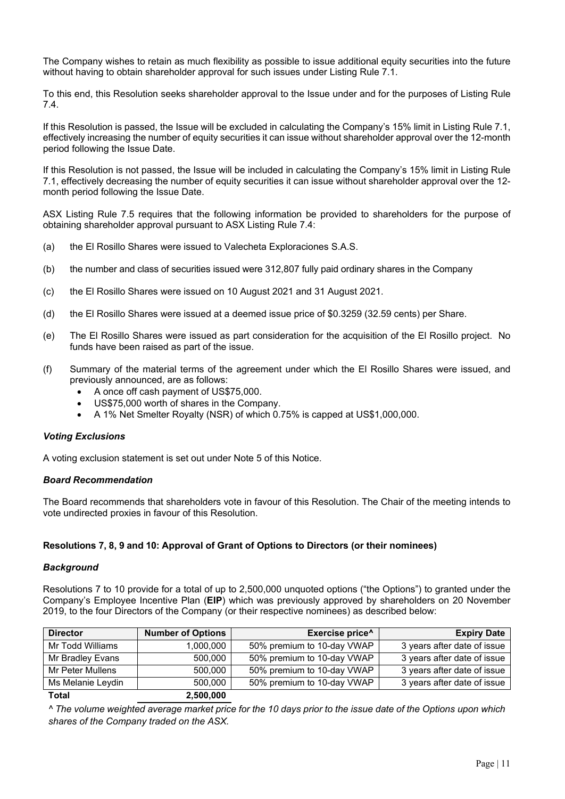The Company wishes to retain as much flexibility as possible to issue additional equity securities into the future without having to obtain shareholder approval for such issues under Listing Rule 7.1.

To this end, this Resolution seeks shareholder approval to the Issue under and for the purposes of Listing Rule 7.4.

If this Resolution is passed, the Issue will be excluded in calculating the Company's 15% limit in Listing Rule 7.1, effectively increasing the number of equity securities it can issue without shareholder approval over the 12-month period following the Issue Date.

If this Resolution is not passed, the Issue will be included in calculating the Company's 15% limit in Listing Rule 7.1, effectively decreasing the number of equity securities it can issue without shareholder approval over the 12 month period following the Issue Date.

ASX Listing Rule 7.5 requires that the following information be provided to shareholders for the purpose of obtaining shareholder approval pursuant to ASX Listing Rule 7.4:

- (a) the El Rosillo Shares were issued to Valecheta Exploraciones S.A.S.
- (b) the number and class of securities issued were 312,807 fully paid ordinary shares in the Company
- (c) the El Rosillo Shares were issued on 10 August 2021 and 31 August 2021.
- (d) the El Rosillo Shares were issued at a deemed issue price of \$0.3259 (32.59 cents) per Share.
- (e) The El Rosillo Shares were issued as part consideration for the acquisition of the El Rosillo project. No funds have been raised as part of the issue.
- (f) Summary of the material terms of the agreement under which the El Rosillo Shares were issued, and previously announced, are as follows:
	- A once off cash payment of US\$75,000.
	- US\$75,000 worth of shares in the Company.
	- A 1% Net Smelter Royalty (NSR) of which 0.75% is capped at US\$1,000,000.

#### *Voting Exclusions*

A voting exclusion statement is set out under Note 5 of this Notice.

#### *Board Recommendation*

The Board recommends that shareholders vote in favour of this Resolution. The Chair of the meeting intends to vote undirected proxies in favour of this Resolution.

#### **Resolutions 7, 8, 9 and 10: Approval of Grant of Options to Directors (or their nominees)**

#### *Background*

Resolutions 7 to 10 provide for a total of up to 2,500,000 unquoted options ("the Options") to granted under the Company's Employee Incentive Plan (**EIP**) which was previously approved by shareholders on 20 November 2019, to the four Directors of the Company (or their respective nominees) as described below:

| <b>Director</b>   | <b>Number of Options</b> | Exercise price^            | <b>Expiry Date</b>          |
|-------------------|--------------------------|----------------------------|-----------------------------|
| Mr Todd Williams  | 1,000,000                | 50% premium to 10-day VWAP | 3 years after date of issue |
| Mr Bradley Evans  | 500.000                  | 50% premium to 10-day VWAP | 3 years after date of issue |
| Mr Peter Mullens  | 500,000                  | 50% premium to 10-day VWAP | 3 years after date of issue |
| Ms Melanie Leydin | 500.000                  | 50% premium to 10-day VWAP | 3 years after date of issue |
| <b>Total</b>      | 2,500,000                |                            |                             |

*^ The volume weighted average market price for the 10 days prior to the issue date of the Options upon which shares of the Company traded on the ASX.*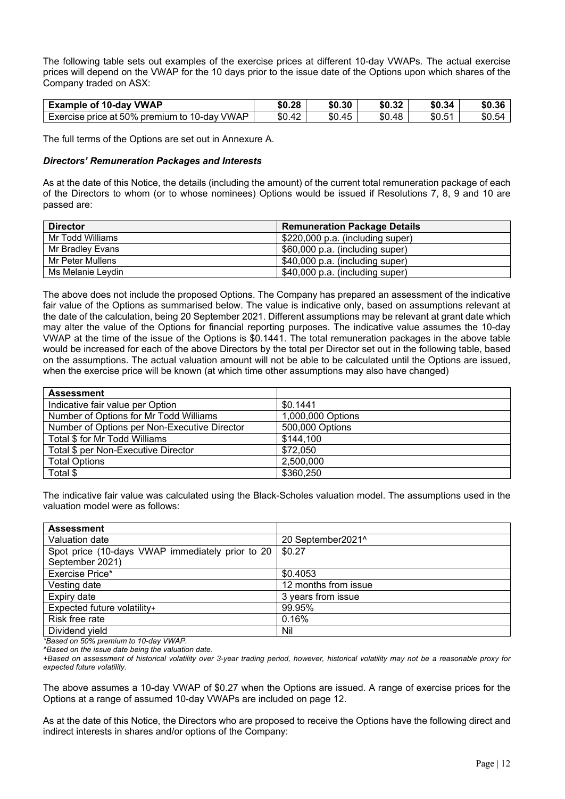The following table sets out examples of the exercise prices at different 10-day VWAPs. The actual exercise prices will depend on the VWAP for the 10 days prior to the issue date of the Options upon which shares of the Company traded on ASX:

| <b>VWAP</b><br>$10$ -day<br>Example<br>. ot                           | \$0.28                   | \$0.30 | ـد.80       | \$0.34                | $\sim$<br>\$0.36 |
|-----------------------------------------------------------------------|--------------------------|--------|-------------|-----------------------|------------------|
| 50%<br><b>VWAP</b><br>premium<br>Exercise price<br>10-dav<br>to<br>at | ቀሰ<br>$\Lambda$<br>ง∪.4∠ | \$0.45 | .48<br>\$0. | $\mathbf{r}$<br>\$0.5 | \$0.54<br>57     |

The full terms of the Options are set out in Annexure A.

#### *Directors' Remuneration Packages and Interests*

As at the date of this Notice, the details (including the amount) of the current total remuneration package of each of the Directors to whom (or to whose nominees) Options would be issued if Resolutions 7, 8, 9 and 10 are passed are:

| <b>Director</b>   | <b>Remuneration Package Details</b> |
|-------------------|-------------------------------------|
| Mr Todd Williams  | \$220,000 p.a. (including super)    |
| Mr Bradley Evans  | \$60,000 p.a. (including super)     |
| Mr Peter Mullens  | \$40,000 p.a. (including super)     |
| Ms Melanie Leydin | \$40,000 p.a. (including super)     |

The above does not include the proposed Options. The Company has prepared an assessment of the indicative fair value of the Options as summarised below. The value is indicative only, based on assumptions relevant at the date of the calculation, being 20 September 2021. Different assumptions may be relevant at grant date which may alter the value of the Options for financial reporting purposes. The indicative value assumes the 10-day VWAP at the time of the issue of the Options is \$0.1441. The total remuneration packages in the above table would be increased for each of the above Directors by the total per Director set out in the following table, based on the assumptions. The actual valuation amount will not be able to be calculated until the Options are issued, when the exercise price will be known (at which time other assumptions may also have changed)

| <b>Assessment</b>                            |                   |
|----------------------------------------------|-------------------|
| Indicative fair value per Option             | \$0.1441          |
| Number of Options for Mr Todd Williams       | 1,000,000 Options |
| Number of Options per Non-Executive Director | 500,000 Options   |
| Total \$ for Mr Todd Williams                | \$144,100         |
| Total \$ per Non-Executive Director          | \$72,050          |
| <b>Total Options</b>                         | 2,500,000         |
| Total \$                                     | \$360,250         |

The indicative fair value was calculated using the Black-Scholes valuation model. The assumptions used in the valuation model were as follows:

| <b>Assessment</b>                                |                      |
|--------------------------------------------------|----------------------|
| Valuation date                                   | 20 September2021^    |
| Spot price (10-days VWAP immediately prior to 20 | \$0.27               |
| September 2021)                                  |                      |
| Exercise Price*                                  | \$0.4053             |
| Vesting date                                     | 12 months from issue |
| Expiry date                                      | 3 years from issue   |
| Expected future volatility+                      | 99.95%               |
| Risk free rate                                   | 0.16%                |
| Dividend yield                                   | Nil                  |

*\*Based on 50% premium to 10-day VWAP.*

*^Based on the issue date being the valuation date.*

*+Based on assessment of historical volatility over 3-year trading period, however, historical volatility may not be a reasonable proxy for expected future volatility.*

The above assumes a 10-day VWAP of \$0.27 when the Options are issued. A range of exercise prices for the Options at a range of assumed 10-day VWAPs are included on page 12.

As at the date of this Notice, the Directors who are proposed to receive the Options have the following direct and indirect interests in shares and/or options of the Company: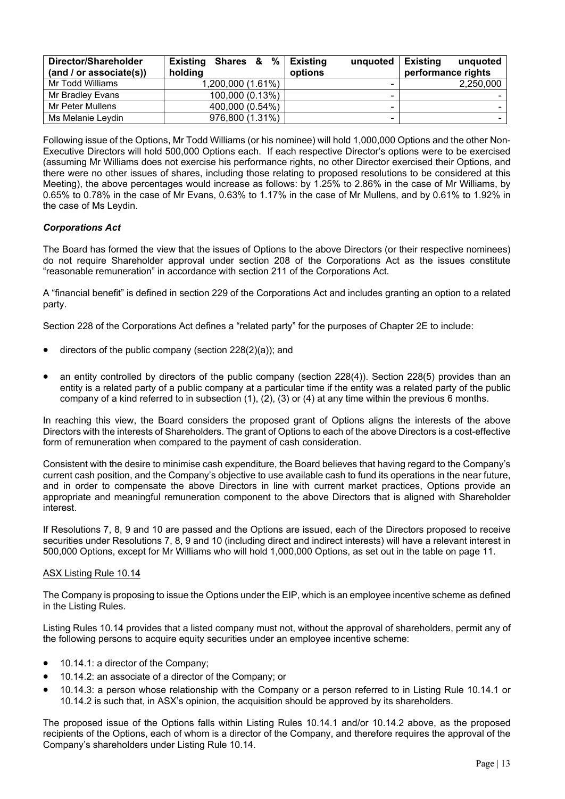| Director/Shareholder<br>(and / or associate(s)) | $%$  <br><b>Existing Shares &amp;</b><br>holding | <b>Existing</b><br>unquoted<br>options | <b>Existing</b><br>unguoted<br>performance rights |
|-------------------------------------------------|--------------------------------------------------|----------------------------------------|---------------------------------------------------|
| Mr Todd Williams                                | 1,200,000 (1.61%)                                | -                                      | 2,250,000                                         |
| Mr Bradley Evans                                | 100,000 (0.13%)                                  | -                                      |                                                   |
| Mr Peter Mullens                                | 400,000 (0.54%)                                  | -                                      |                                                   |
| Ms Melanie Levdin                               | 976,800 (1.31%)                                  | -                                      |                                                   |

Following issue of the Options, Mr Todd Williams (or his nominee) will hold 1,000,000 Options and the other Non-Executive Directors will hold 500,000 Options each. If each respective Director's options were to be exercised (assuming Mr Williams does not exercise his performance rights, no other Director exercised their Options, and there were no other issues of shares, including those relating to proposed resolutions to be considered at this Meeting), the above percentages would increase as follows: by 1.25% to 2.86% in the case of Mr Williams, by 0.65% to 0.78% in the case of Mr Evans, 0.63% to 1.17% in the case of Mr Mullens, and by 0.61% to 1.92% in the case of Ms Leydin.

#### *Corporations Act*

The Board has formed the view that the issues of Options to the above Directors (or their respective nominees) do not require Shareholder approval under section 208 of the Corporations Act as the issues constitute "reasonable remuneration" in accordance with section 211 of the Corporations Act.

A "financial benefit" is defined in section 229 of the Corporations Act and includes granting an option to a related party.

Section 228 of the Corporations Act defines a "related party" for the purposes of Chapter 2E to include:

- directors of the public company (section 228(2)(a)); and
- an entity controlled by directors of the public company (section 228(4)). Section 228(5) provides than an entity is a related party of a public company at a particular time if the entity was a related party of the public company of a kind referred to in subsection (1), (2), (3) or (4) at any time within the previous 6 months.

In reaching this view, the Board considers the proposed grant of Options aligns the interests of the above Directors with the interests of Shareholders. The grant of Options to each of the above Directors is a cost-effective form of remuneration when compared to the payment of cash consideration.

Consistent with the desire to minimise cash expenditure, the Board believes that having regard to the Company's current cash position, and the Company's objective to use available cash to fund its operations in the near future, and in order to compensate the above Directors in line with current market practices, Options provide an appropriate and meaningful remuneration component to the above Directors that is aligned with Shareholder interest.

If Resolutions 7, 8, 9 and 10 are passed and the Options are issued, each of the Directors proposed to receive securities under Resolutions 7, 8, 9 and 10 (including direct and indirect interests) will have a relevant interest in 500,000 Options, except for Mr Williams who will hold 1,000,000 Options, as set out in the table on page 11.

#### ASX Listing Rule 10.14

The Company is proposing to issue the Options under the EIP, which is an employee incentive scheme as defined in the Listing Rules.

Listing Rules 10.14 provides that a listed company must not, without the approval of shareholders, permit any of the following persons to acquire equity securities under an employee incentive scheme:

- 10.14.1: a director of the Company;
- 10.14.2: an associate of a director of the Company; or
- 10.14.3: a person whose relationship with the Company or a person referred to in Listing Rule 10.14.1 or 10.14.2 is such that, in ASX's opinion, the acquisition should be approved by its shareholders.

The proposed issue of the Options falls within Listing Rules 10.14.1 and/or 10.14.2 above, as the proposed recipients of the Options, each of whom is a director of the Company, and therefore requires the approval of the Company's shareholders under Listing Rule 10.14.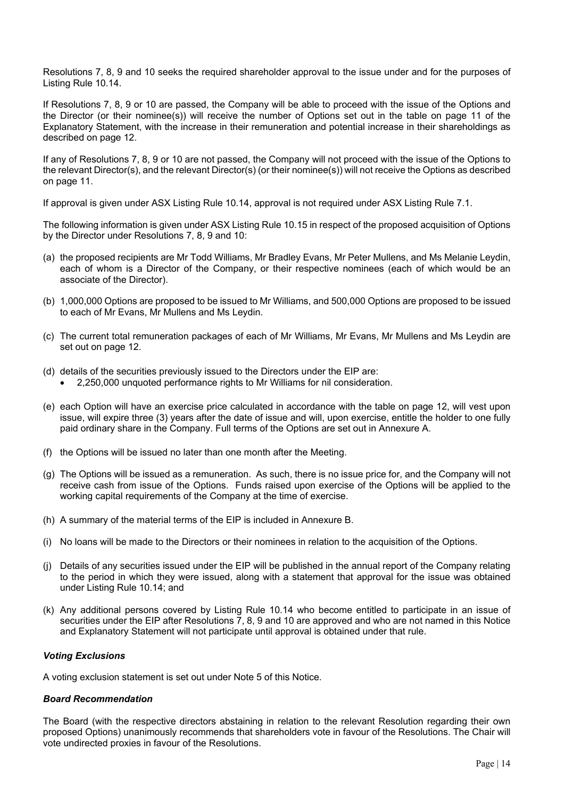Resolutions 7, 8, 9 and 10 seeks the required shareholder approval to the issue under and for the purposes of Listing Rule 10.14.

If Resolutions 7, 8, 9 or 10 are passed, the Company will be able to proceed with the issue of the Options and the Director (or their nominee(s)) will receive the number of Options set out in the table on page 11 of the Explanatory Statement, with the increase in their remuneration and potential increase in their shareholdings as described on page 12.

If any of Resolutions 7, 8, 9 or 10 are not passed, the Company will not proceed with the issue of the Options to the relevant Director(s), and the relevant Director(s) (or their nominee(s)) will not receive the Options as described on page 11.

If approval is given under ASX Listing Rule 10.14, approval is not required under ASX Listing Rule 7.1.

The following information is given under ASX Listing Rule 10.15 in respect of the proposed acquisition of Options by the Director under Resolutions 7, 8, 9 and 10:

- (a) the proposed recipients are Mr Todd Williams, Mr Bradley Evans, Mr Peter Mullens, and Ms Melanie Leydin, each of whom is a Director of the Company, or their respective nominees (each of which would be an associate of the Director).
- (b) 1,000,000 Options are proposed to be issued to Mr Williams, and 500,000 Options are proposed to be issued to each of Mr Evans, Mr Mullens and Ms Leydin.
- (c) The current total remuneration packages of each of Mr Williams, Mr Evans, Mr Mullens and Ms Leydin are set out on page 12.
- (d) details of the securities previously issued to the Directors under the EIP are:
	- 2,250,000 unquoted performance rights to Mr Williams for nil consideration.
- (e) each Option will have an exercise price calculated in accordance with the table on page 12, will vest upon issue, will expire three (3) years after the date of issue and will, upon exercise, entitle the holder to one fully paid ordinary share in the Company. Full terms of the Options are set out in Annexure A.
- (f) the Options will be issued no later than one month after the Meeting.
- (g) The Options will be issued as a remuneration. As such, there is no issue price for, and the Company will not receive cash from issue of the Options. Funds raised upon exercise of the Options will be applied to the working capital requirements of the Company at the time of exercise.
- (h) A summary of the material terms of the EIP is included in Annexure B.
- (i) No loans will be made to the Directors or their nominees in relation to the acquisition of the Options.
- (j) Details of any securities issued under the EIP will be published in the annual report of the Company relating to the period in which they were issued, along with a statement that approval for the issue was obtained under Listing Rule 10.14; and
- (k) Any additional persons covered by Listing Rule 10.14 who become entitled to participate in an issue of securities under the EIP after Resolutions 7, 8, 9 and 10 are approved and who are not named in this Notice and Explanatory Statement will not participate until approval is obtained under that rule.

#### *Voting Exclusions*

A voting exclusion statement is set out under Note 5 of this Notice.

#### *Board Recommendation*

The Board (with the respective directors abstaining in relation to the relevant Resolution regarding their own proposed Options) unanimously recommends that shareholders vote in favour of the Resolutions. The Chair will vote undirected proxies in favour of the Resolutions.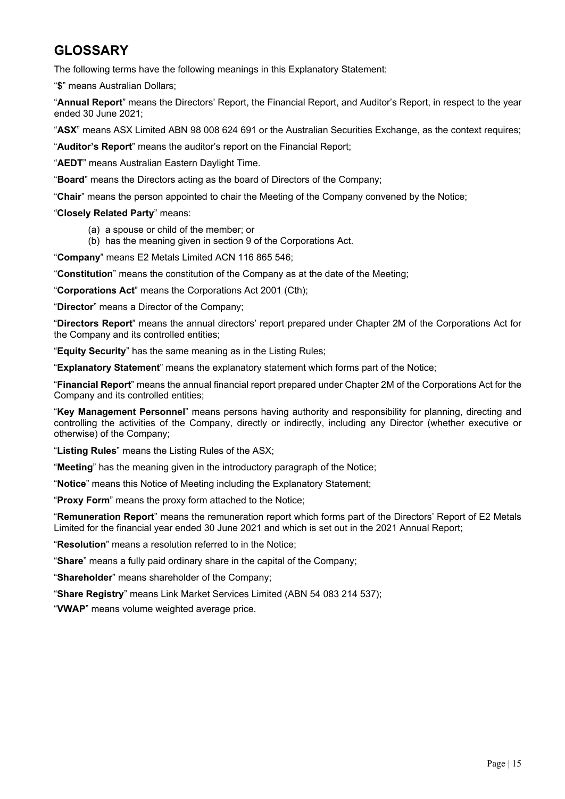## **GLOSSARY**

The following terms have the following meanings in this Explanatory Statement:

"**\$**" means Australian Dollars;

"**Annual Report**" means the Directors' Report, the Financial Report, and Auditor's Report, in respect to the year ended 30 June 2021;

"**ASX**" means ASX Limited ABN 98 008 624 691 or the Australian Securities Exchange, as the context requires;

"**Auditor's Report**" means the auditor's report on the Financial Report;

"**AEDT**" means Australian Eastern Daylight Time.

"**Board**" means the Directors acting as the board of Directors of the Company;

"**Chair**" means the person appointed to chair the Meeting of the Company convened by the Notice;

#### "**Closely Related Party**" means:

- (a) a spouse or child of the member; or
- (b) has the meaning given in section 9 of the Corporations Act.

"**Company**" means E2 Metals Limited ACN 116 865 546;

"**Constitution**" means the constitution of the Company as at the date of the Meeting;

"**Corporations Act**" means the Corporations Act 2001 (Cth);

"**Director**" means a Director of the Company;

"**Directors Report**" means the annual directors' report prepared under Chapter 2M of the Corporations Act for the Company and its controlled entities;

"**Equity Security**" has the same meaning as in the Listing Rules;

"**Explanatory Statement**" means the explanatory statement which forms part of the Notice;

"**Financial Report**" means the annual financial report prepared under Chapter 2M of the Corporations Act for the Company and its controlled entities;

"**Key Management Personnel**" means persons having authority and responsibility for planning, directing and controlling the activities of the Company, directly or indirectly, including any Director (whether executive or otherwise) of the Company;

"**Listing Rules**" means the Listing Rules of the ASX;

"**Meeting**" has the meaning given in the introductory paragraph of the Notice;

"**Notice**" means this Notice of Meeting including the Explanatory Statement;

"**Proxy Form**" means the proxy form attached to the Notice;

"**Remuneration Report**" means the remuneration report which forms part of the Directors' Report of E2 Metals Limited for the financial year ended 30 June 2021 and which is set out in the 2021 Annual Report;

"**Resolution**" means a resolution referred to in the Notice;

"**Share**" means a fully paid ordinary share in the capital of the Company;

"**Shareholder**" means shareholder of the Company;

"**Share Registry**" means Link Market Services Limited (ABN 54 083 214 537);

"**VWAP**" means volume weighted average price.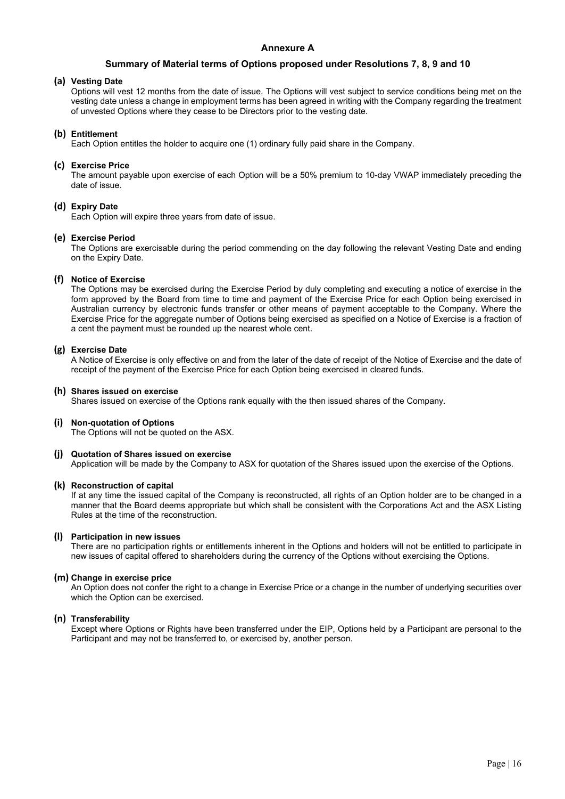#### **Annexure A**

#### **Summary of Material terms of Options proposed under Resolutions 7, 8, 9 and 10**

#### **(a) Vesting Date**

Options will vest 12 months from the date of issue.The Options will vest subject to service conditions being met on the vesting date unless a change in employment terms has been agreed in writing with the Company regarding the treatment of unvested Options where they cease to be Directors prior to the vesting date.

#### **(b) Entitlement**

Each Option entitles the holder to acquire one (1) ordinary fully paid share in the Company.

#### **(c) Exercise Price**

The amount payable upon exercise of each Option will be a 50% premium to 10-day VWAP immediately preceding the date of issue.

#### **(d) Expiry Date**

Each Option will expire three years from date of issue.

#### **(e) Exercise Period**

The Options are exercisable during the period commending on the day following the relevant Vesting Date and ending on the Expiry Date.

#### **(f) Notice of Exercise**

The Options may be exercised during the Exercise Period by duly completing and executing a notice of exercise in the form approved by the Board from time to time and payment of the Exercise Price for each Option being exercised in Australian currency by electronic funds transfer or other means of payment acceptable to the Company. Where the Exercise Price for the aggregate number of Options being exercised as specified on a Notice of Exercise is a fraction of a cent the payment must be rounded up the nearest whole cent.

#### **(g) Exercise Date**

A Notice of Exercise is only effective on and from the later of the date of receipt of the Notice of Exercise and the date of receipt of the payment of the Exercise Price for each Option being exercised in cleared funds.

#### **(h) Shares issued on exercise**

Shares issued on exercise of the Options rank equally with the then issued shares of the Company.

#### **(i) Non-quotation of Options**

The Options will not be quoted on the ASX.

#### **(j) Quotation of Shares issued on exercise**

Application will be made by the Company to ASX for quotation of the Shares issued upon the exercise of the Options.

#### **(k) Reconstruction of capital**

If at any time the issued capital of the Company is reconstructed, all rights of an Option holder are to be changed in a manner that the Board deems appropriate but which shall be consistent with the Corporations Act and the ASX Listing Rules at the time of the reconstruction.

#### **(l) Participation in new issues**

There are no participation rights or entitlements inherent in the Options and holders will not be entitled to participate in new issues of capital offered to shareholders during the currency of the Options without exercising the Options.

#### **(m) Change in exercise price**

An Option does not confer the right to a change in Exercise Price or a change in the number of underlying securities over which the Option can be exercised.

#### **(n) Transferability**

Except where Options or Rights have been transferred under the EIP, Options held by a Participant are personal to the Participant and may not be transferred to, or exercised by, another person.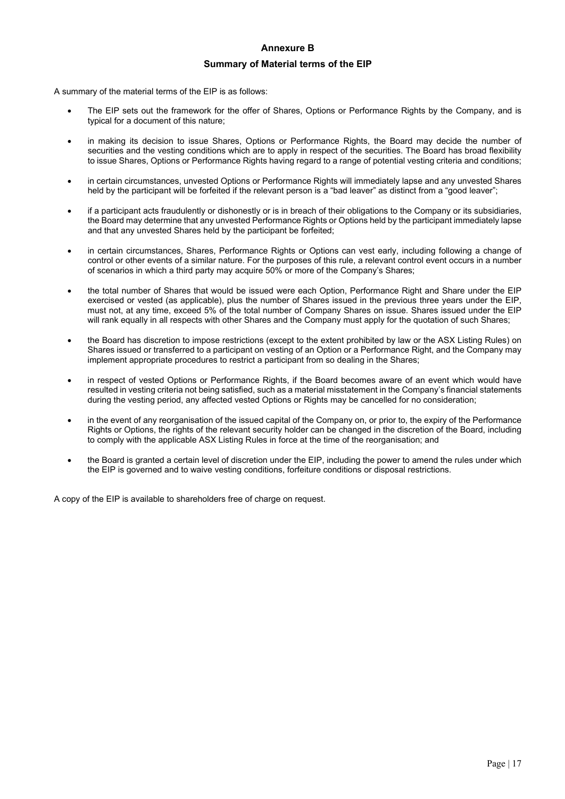### **Annexure B Summary of Material terms of the EIP**

A summary of the material terms of the EIP is as follows:

- The EIP sets out the framework for the offer of Shares, Options or Performance Rights by the Company, and is typical for a document of this nature;
- in making its decision to issue Shares, Options or Performance Rights, the Board may decide the number of securities and the vesting conditions which are to apply in respect of the securities. The Board has broad flexibility to issue Shares, Options or Performance Rights having regard to a range of potential vesting criteria and conditions;
- in certain circumstances, unvested Options or Performance Rights will immediately lapse and any unvested Shares held by the participant will be forfeited if the relevant person is a "bad leaver" as distinct from a "good leaver";
- if a participant acts fraudulently or dishonestly or is in breach of their obligations to the Company or its subsidiaries, the Board may determine that any unvested Performance Rights or Options held by the participant immediately lapse and that any unvested Shares held by the participant be forfeited;
- in certain circumstances, Shares, Performance Rights or Options can vest early, including following a change of control or other events of a similar nature. For the purposes of this rule, a relevant control event occurs in a number of scenarios in which a third party may acquire 50% or more of the Company's Shares;
- the total number of Shares that would be issued were each Option, Performance Right and Share under the EIP exercised or vested (as applicable), plus the number of Shares issued in the previous three years under the EIP, must not, at any time, exceed 5% of the total number of Company Shares on issue. Shares issued under the EIP will rank equally in all respects with other Shares and the Company must apply for the quotation of such Shares;
- the Board has discretion to impose restrictions (except to the extent prohibited by law or the ASX Listing Rules) on Shares issued or transferred to a participant on vesting of an Option or a Performance Right, and the Company may implement appropriate procedures to restrict a participant from so dealing in the Shares;
- in respect of vested Options or Performance Rights, if the Board becomes aware of an event which would have resulted in vesting criteria not being satisfied, such as a material misstatement in the Company's financial statements during the vesting period, any affected vested Options or Rights may be cancelled for no consideration;
- in the event of any reorganisation of the issued capital of the Company on, or prior to, the expiry of the Performance Rights or Options, the rights of the relevant security holder can be changed in the discretion of the Board, including to comply with the applicable ASX Listing Rules in force at the time of the reorganisation; and
- the Board is granted a certain level of discretion under the EIP, including the power to amend the rules under which the EIP is governed and to waive vesting conditions, forfeiture conditions or disposal restrictions.

A copy of the EIP is available to shareholders free of charge on request.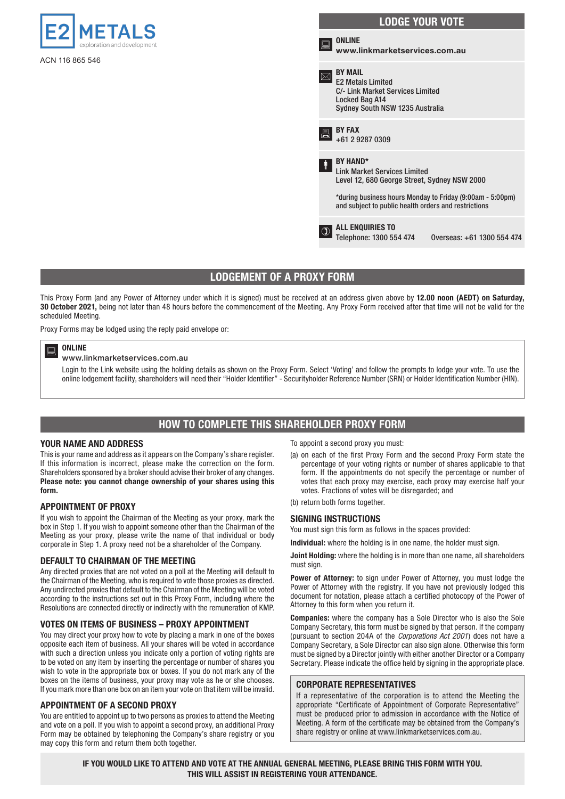

ACN 116 865 546

#### LODGE YOUR VOTE **ONLINE** www.linkmarketservices.com.au BY MAIL E2 Metals Limited C/- Link Market Services Limited Locked Bag A14 Sydney South NSW 1235 Australia BY FAX +61 2 9287 0309 BY HAND\* Link Market Services Limited Level 12, 680 George Street, Sydney NSW 2000 \*during business hours Monday to Friday (9:00am - 5:00pm) and subject to public health orders and restrictions **D** ALL ENQUIRIES TO<br>Telephone: 1300 554 474 Telephone: 1300 554 474 Overseas: +61 1300 554 474

#### LODGEMENT OF A PROXY FORM

This Proxy Form (and any Power of Attorney under which it is signed) must be received at an address given above by 12.00 noon (AEDT) on Saturday, 30 October 2021, being not later than 48 hours before the commencement of the Meeting. Any Proxy Form received after that time will not be valid for the scheduled Meeting.

Proxy Forms may be lodged using the reply paid envelope or:

#### ONLINE

#### www.linkmarketservices.com.au

Login to the Link website using the holding details as shown on the Proxy Form. Select 'Voting' and follow the prompts to lodge your vote. To use the online lodgement facility, shareholders will need their "Holder Identifier" - Securityholder Reference Number (SRN) or Holder Identification Number (HIN).

#### HOW TO COMPLETE THIS SHAREHOLDER PROXY FORM

#### YOUR NAME AND ADDRESS

This is your name and address as it appears on the Company's share register. If this information is incorrect, please make the correction on the form. Shareholders sponsored by a broker should advise their broker of any changes. Please note: you cannot change ownership of your shares using this form.

#### APPOINTMENT OF PROXY

If you wish to appoint the Chairman of the Meeting as your proxy, mark the box in Step 1. If you wish to appoint someone other than the Chairman of the Meeting as your proxy, please write the name of that individual or body corporate in Step 1. A proxy need not be a shareholder of the Company.

#### DEFAULT TO CHAIRMAN OF THE MEETING

Any directed proxies that are not voted on a poll at the Meeting will default to the Chairman of the Meeting, who is required to vote those proxies as directed. Any undirected proxies that default to the Chairman of the Meeting will be voted according to the instructions set out in this Proxy Form, including where the Resolutions are connected directly or indirectly with the remuneration of KMP.

#### VOTES ON ITEMS OF BUSINESS – PROXY APPOINTMENT

You may direct your proxy how to vote by placing a mark in one of the boxes opposite each item of business. All your shares will be voted in accordance with such a direction unless you indicate only a portion of voting rights are to be voted on any item by inserting the percentage or number of shares you wish to vote in the appropriate box or boxes. If you do not mark any of the boxes on the items of business, your proxy may vote as he or she chooses. If you mark more than one box on an item your vote on that item will be invalid.

#### APPOINTMENT OF A SECOND PROXY

You are entitled to appoint up to two persons as proxies to attend the Meeting and vote on a poll. If you wish to appoint a second proxy, an additional Proxy Form may be obtained by telephoning the Company's share registry or you may copy this form and return them both together.

To appoint a second proxy you must:

- (a) on each of the first Proxy Form and the second Proxy Form state the percentage of your voting rights or number of shares applicable to that form. If the appointments do not specify the percentage or number of votes that each proxy may exercise, each proxy may exercise half your votes. Fractions of votes will be disregarded; and
- (b) return both forms together.

#### SIGNING INSTRUCTIONS

You must sign this form as follows in the spaces provided:

Individual: where the holding is in one name, the holder must sign.

Joint Holding: where the holding is in more than one name, all shareholders must sign.

Power of Attorney: to sign under Power of Attorney, you must lodge the Power of Attorney with the registry. If you have not previously lodged this document for notation, please attach a certified photocopy of the Power of Attorney to this form when you return it.

Companies: where the company has a Sole Director who is also the Sole Company Secretary, this form must be signed by that person. If the company (pursuant to section 204A of the *Corporations Act 2001*) does not have a Company Secretary, a Sole Director can also sign alone. Otherwise this form must be signed by a Director jointly with either another Director or a Company Secretary. Please indicate the office held by signing in the appropriate place.

#### CORPORATE REPRESENTATIVES

If a representative of the corporation is to attend the Meeting the appropriate "Certificate of Appointment of Corporate Representative" must be produced prior to admission in accordance with the Notice of Meeting. A form of the certificate may be obtained from the Company's share registry or online at www.linkmarketservices.com.au.

IF YOU WOULD LIKE TO ATTEND AND VOTE AT THE ANNUAL GENERAL MEETING, PLEASE BRING THIS FORM WITH YOU. THIS WILL ASSIST IN REGISTERING YOUR ATTENDANCE.